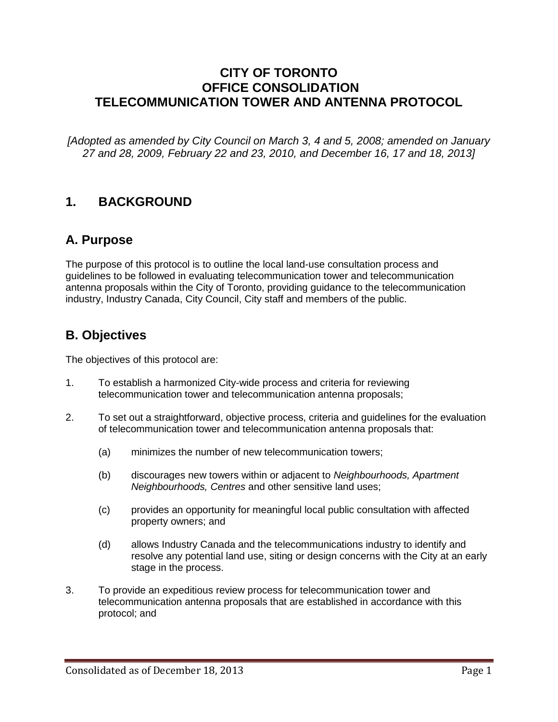### **CITY OF TORONTO OFFICE CONSOLIDATION TELECOMMUNICATION TOWER AND ANTENNA PROTOCOL**

*[Adopted as amended by City Council on March 3, 4 and 5, 2008; amended on January 27 and 28, 2009, February 22 and 23, 2010, and December 16, 17 and 18, 2013]*

### **1. BACKGROUND**

# **A. Purpose**

The purpose of this protocol is to outline the local land-use consultation process and guidelines to be followed in evaluating telecommunication tower and telecommunication antenna proposals within the City of Toronto, providing guidance to the telecommunication industry, Industry Canada, City Council, City staff and members of the public.

## **B. Objectives**

The objectives of this protocol are:

- 1. To establish a harmonized City-wide process and criteria for reviewing telecommunication tower and telecommunication antenna proposals;
- 2. To set out a straightforward, objective process, criteria and guidelines for the evaluation of telecommunication tower and telecommunication antenna proposals that:
	- (a) minimizes the number of new telecommunication towers;
	- (b) discourages new towers within or adjacent to *Neighbourhoods, Apartment Neighbourhoods, Centres* and other sensitive land uses;
	- (c) provides an opportunity for meaningful local public consultation with affected property owners; and
	- (d) allows Industry Canada and the telecommunications industry to identify and resolve any potential land use, siting or design concerns with the City at an early stage in the process.
- 3. To provide an expeditious review process for telecommunication tower and telecommunication antenna proposals that are established in accordance with this protocol; and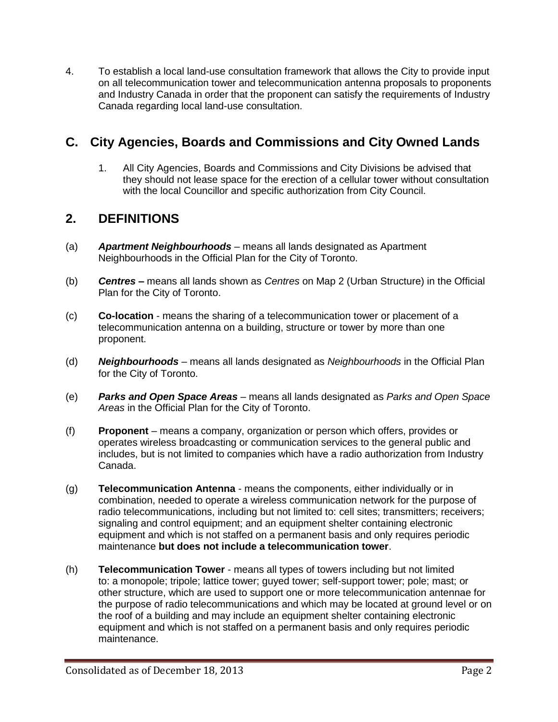4. To establish a local land-use consultation framework that allows the City to provide input on all telecommunication tower and telecommunication antenna proposals to proponents and Industry Canada in order that the proponent can satisfy the requirements of Industry Canada regarding local land-use consultation.

# **C. City Agencies, Boards and Commissions and City Owned Lands**

1. All City Agencies, Boards and Commissions and City Divisions be advised that they should not lease space for the erection of a cellular tower without consultation with the local Councillor and specific authorization from City Council.

### **2. DEFINITIONS**

- (a) *Apartment Neighbourhoods* means all lands designated as Apartment Neighbourhoods in the Official Plan for the City of Toronto.
- (b) *Centres* **–** means all lands shown as *Centres* on Map 2 (Urban Structure) in the Official Plan for the City of Toronto.
- (c) **Co-location** means the sharing of a telecommunication tower or placement of a telecommunication antenna on a building, structure or tower by more than one proponent.
- (d) *Neighbourhoods* means all lands designated as *Neighbourhoods* in the Official Plan for the City of Toronto.
- (e) *Parks and Open Space Areas* means all lands designated as *Parks and Open Space Areas* in the Official Plan for the City of Toronto.
- (f) **Proponent**  means a company, organization or person which offers, provides or operates wireless broadcasting or communication services to the general public and includes, but is not limited to companies which have a radio authorization from Industry Canada.
- (g) **Telecommunication Antenna**  means the components, either individually or in combination, needed to operate a wireless communication network for the purpose of radio telecommunications, including but not limited to: cell sites; transmitters; receivers; signaling and control equipment; and an equipment shelter containing electronic equipment and which is not staffed on a permanent basis and only requires periodic maintenance **but does not include a telecommunication tower**.
- (h) **Telecommunication Tower**  means all types of towers including but not limited to: a monopole; tripole; lattice tower; guyed tower; self-support tower; pole; mast; or other structure, which are used to support one or more telecommunication antennae for the purpose of radio telecommunications and which may be located at ground level or on the roof of a building and may include an equipment shelter containing electronic equipment and which is not staffed on a permanent basis and only requires periodic maintenance.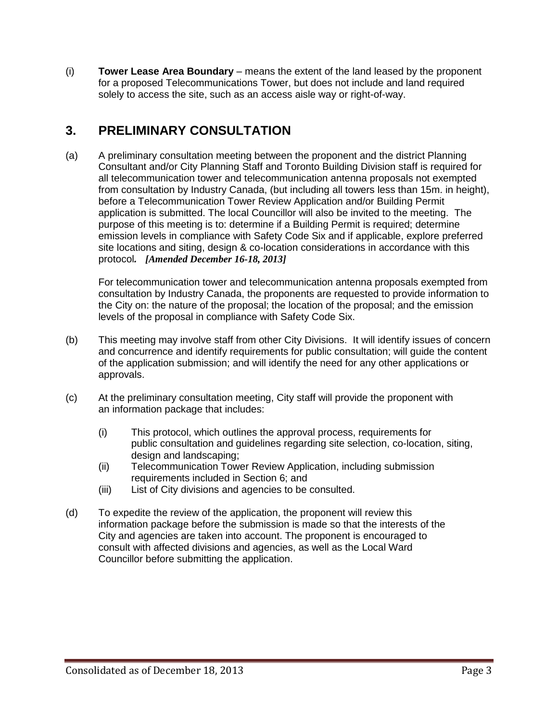(i) **Tower Lease Area Boundary** – means the extent of the land leased by the proponent for a proposed Telecommunications Tower, but does not include and land required solely to access the site, such as an access aisle way or right-of-way.

# **3. PRELIMINARY CONSULTATION**

(a) A preliminary consultation meeting between the proponent and the district Planning Consultant and/or City Planning Staff and Toronto Building Division staff is required for all telecommunication tower and telecommunication antenna proposals not exempted from consultation by Industry Canada, (but including all towers less than 15m. in height), before a Telecommunication Tower Review Application and/or Building Permit application is submitted. The local Councillor will also be invited to the meeting. The purpose of this meeting is to: determine if a Building Permit is required; determine emission levels in compliance with Safety Code Six and if applicable, explore preferred site locations and siting, design & co-location considerations in accordance with this protocol*. [Amended December 16-18, 2013]*

For telecommunication tower and telecommunication antenna proposals exempted from consultation by Industry Canada, the proponents are requested to provide information to the City on: the nature of the proposal; the location of the proposal; and the emission levels of the proposal in compliance with Safety Code Six.

- (b) This meeting may involve staff from other City Divisions. It will identify issues of concern and concurrence and identify requirements for public consultation; will guide the content of the application submission; and will identify the need for any other applications or approvals.
- (c) At the preliminary consultation meeting, City staff will provide the proponent with an information package that includes:
	- (i) This protocol, which outlines the approval process, requirements for public consultation and guidelines regarding site selection, co-location, siting, design and landscaping;
	- (ii) Telecommunication Tower Review Application, including submission requirements included in Section 6; and
	- (iii) List of City divisions and agencies to be consulted.
- (d) To expedite the review of the application, the proponent will review this information package before the submission is made so that the interests of the City and agencies are taken into account. The proponent is encouraged to consult with affected divisions and agencies, as well as the Local Ward Councillor before submitting the application.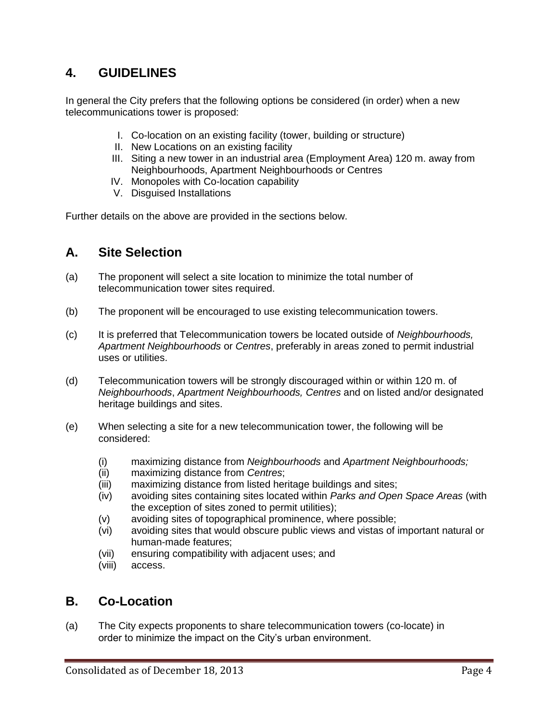## **4. GUIDELINES**

In general the City prefers that the following options be considered (in order) when a new telecommunications tower is proposed:

- I. Co-location on an existing facility (tower, building or structure)
- II. New Locations on an existing facility
- III. Siting a new tower in an industrial area (Employment Area) 120 m. away from Neighbourhoods, Apartment Neighbourhoods or Centres
- IV. Monopoles with Co-location capability
- V. Disguised Installations

Further details on the above are provided in the sections below.

### **A. Site Selection**

- (a) The proponent will select a site location to minimize the total number of telecommunication tower sites required.
- (b) The proponent will be encouraged to use existing telecommunication towers.
- (c) It is preferred that Telecommunication towers be located outside of *Neighbourhoods, Apartment Neighbourhoods* or *Centres*, preferably in areas zoned to permit industrial uses or utilities.
- (d) Telecommunication towers will be strongly discouraged within or within 120 m. of *Neighbourhoods*, *Apartment Neighbourhoods, Centres* and on listed and/or designated heritage buildings and sites.
- (e) When selecting a site for a new telecommunication tower, the following will be considered:
	- (i) maximizing distance from *Neighbourhoods* and *Apartment Neighbourhoods;*
	- (ii) maximizing distance from *Centres*;
	- (iii) maximizing distance from listed heritage buildings and sites;
	- (iv) avoiding sites containing sites located within *Parks and Open Space Areas* (with the exception of sites zoned to permit utilities);
	- (v) avoiding sites of topographical prominence, where possible;
	- (vi) avoiding sites that would obscure public views and vistas of important natural or human-made features;
	- (vii) ensuring compatibility with adjacent uses; and
	- (viii) access.

### **B. Co-Location**

(a) The City expects proponents to share telecommunication towers (co-locate) in order to minimize the impact on the City's urban environment.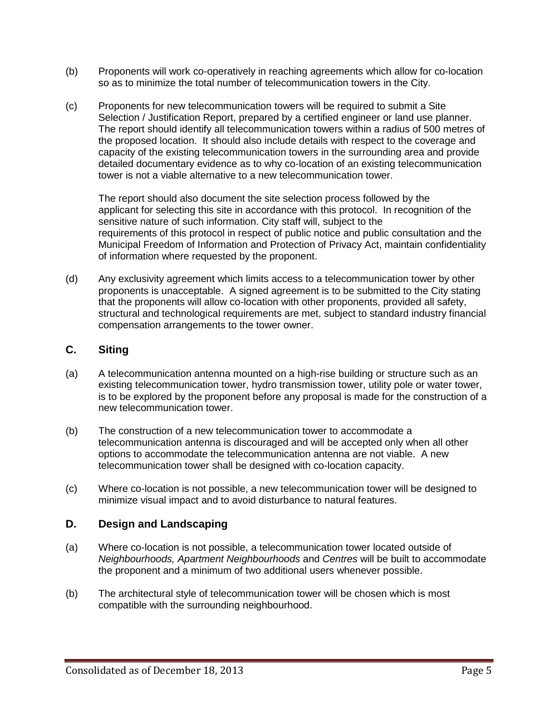- (b) Proponents will work co-operatively in reaching agreements which allow for co-location so as to minimize the total number of telecommunication towers in the City.
- (c) Proponents for new telecommunication towers will be required to submit a Site Selection / Justification Report, prepared by a certified engineer or land use planner. The report should identify all telecommunication towers within a radius of 500 metres of the proposed location. It should also include details with respect to the coverage and capacity of the existing telecommunication towers in the surrounding area and provide detailed documentary evidence as to why co-location of an existing telecommunication tower is not a viable alternative to a new telecommunication tower.

The report should also document the site selection process followed by the applicant for selecting this site in accordance with this protocol. In recognition of the sensitive nature of such information. City staff will, subject to the requirements of this protocol in respect of public notice and public consultation and the Municipal Freedom of Information and Protection of Privacy Act, maintain confidentiality of information where requested by the proponent.

(d) Any exclusivity agreement which limits access to a telecommunication tower by other proponents is unacceptable. A signed agreement is to be submitted to the City stating that the proponents will allow co-location with other proponents, provided all safety, structural and technological requirements are met, subject to standard industry financial compensation arrangements to the tower owner.

#### **C. Siting**

- (a) A telecommunication antenna mounted on a high-rise building or structure such as an existing telecommunication tower, hydro transmission tower, utility pole or water tower, is to be explored by the proponent before any proposal is made for the construction of a new telecommunication tower.
- (b) The construction of a new telecommunication tower to accommodate a telecommunication antenna is discouraged and will be accepted only when all other options to accommodate the telecommunication antenna are not viable. A new telecommunication tower shall be designed with co-location capacity.
- (c) Where co-location is not possible, a new telecommunication tower will be designed to minimize visual impact and to avoid disturbance to natural features.

#### **D. Design and Landscaping**

- (a) Where co-location is not possible, a telecommunication tower located outside of *Neighbourhoods, Apartment Neighbourhoods* and *Centres* will be built to accommodate the proponent and a minimum of two additional users whenever possible.
- (b) The architectural style of telecommunication tower will be chosen which is most compatible with the surrounding neighbourhood.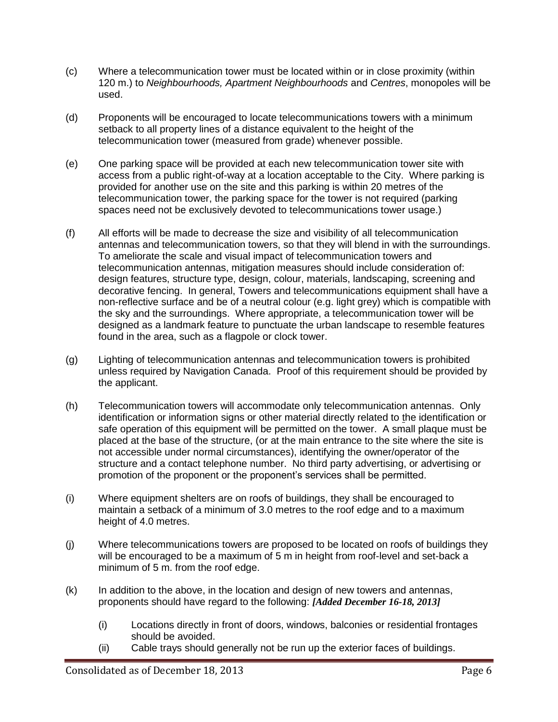- (c) Where a telecommunication tower must be located within or in close proximity (within 120 m.) to *Neighbourhoods, Apartment Neighbourhoods* and *Centres*, monopoles will be used.
- (d) Proponents will be encouraged to locate telecommunications towers with a minimum setback to all property lines of a distance equivalent to the height of the telecommunication tower (measured from grade) whenever possible.
- (e) One parking space will be provided at each new telecommunication tower site with access from a public right-of-way at a location acceptable to the City. Where parking is provided for another use on the site and this parking is within 20 metres of the telecommunication tower, the parking space for the tower is not required (parking spaces need not be exclusively devoted to telecommunications tower usage.)
- (f) All efforts will be made to decrease the size and visibility of all telecommunication antennas and telecommunication towers, so that they will blend in with the surroundings. To ameliorate the scale and visual impact of telecommunication towers and telecommunication antennas, mitigation measures should include consideration of: design features, structure type, design, colour, materials, landscaping, screening and decorative fencing. In general, Towers and telecommunications equipment shall have a non-reflective surface and be of a neutral colour (e.g. light grey) which is compatible with the sky and the surroundings. Where appropriate, a telecommunication tower will be designed as a landmark feature to punctuate the urban landscape to resemble features found in the area, such as a flagpole or clock tower.
- (g) Lighting of telecommunication antennas and telecommunication towers is prohibited unless required by Navigation Canada. Proof of this requirement should be provided by the applicant.
- (h) Telecommunication towers will accommodate only telecommunication antennas. Only identification or information signs or other material directly related to the identification or safe operation of this equipment will be permitted on the tower. A small plaque must be placed at the base of the structure, (or at the main entrance to the site where the site is not accessible under normal circumstances), identifying the owner/operator of the structure and a contact telephone number. No third party advertising, or advertising or promotion of the proponent or the proponent's services shall be permitted.
- (i) Where equipment shelters are on roofs of buildings, they shall be encouraged to maintain a setback of a minimum of 3.0 metres to the roof edge and to a maximum height of 4.0 metres.
- (j) Where telecommunications towers are proposed to be located on roofs of buildings they will be encouraged to be a maximum of 5 m in height from roof-level and set-back a minimum of 5 m. from the roof edge.
- (k) In addition to the above, in the location and design of new towers and antennas, proponents should have regard to the following: *[Added December 16-18, 2013]*
	- (i) Locations directly in front of doors, windows, balconies or residential frontages should be avoided.
	- (ii) Cable trays should generally not be run up the exterior faces of buildings.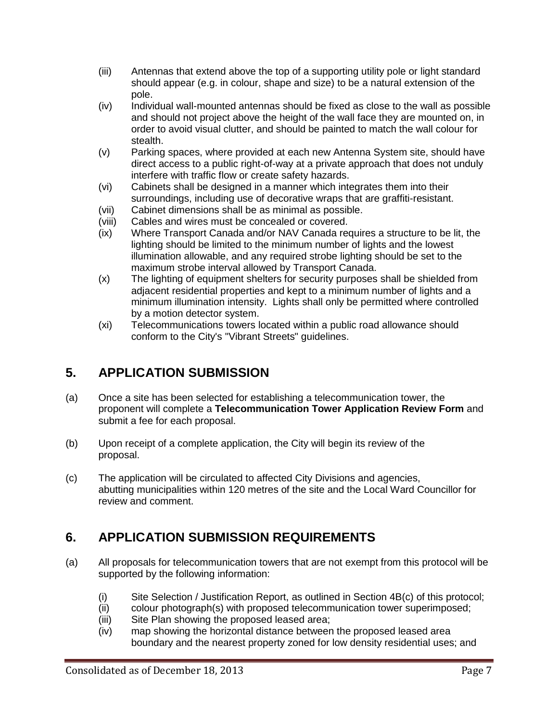- (iii) Antennas that extend above the top of a supporting utility pole or light standard should appear (e.g. in colour, shape and size) to be a natural extension of the pole.
- (iv) Individual wall-mounted antennas should be fixed as close to the wall as possible and should not project above the height of the wall face they are mounted on, in order to avoid visual clutter, and should be painted to match the wall colour for stealth.
- (v) Parking spaces, where provided at each new Antenna System site, should have direct access to a public right-of-way at a private approach that does not unduly interfere with traffic flow or create safety hazards.
- (vi) Cabinets shall be designed in a manner which integrates them into their surroundings, including use of decorative wraps that are graffiti-resistant.
- (vii) Cabinet dimensions shall be as minimal as possible.
- (viii) Cables and wires must be concealed or covered.
- (ix) Where Transport Canada and/or NAV Canada requires a structure to be lit, the lighting should be limited to the minimum number of lights and the lowest illumination allowable, and any required strobe lighting should be set to the maximum strobe interval allowed by Transport Canada.
- (x) The lighting of equipment shelters for security purposes shall be shielded from adjacent residential properties and kept to a minimum number of lights and a minimum illumination intensity. Lights shall only be permitted where controlled by a motion detector system.
- (xi) Telecommunications towers located within a public road allowance should conform to the City's "Vibrant Streets" guidelines.

# **5. APPLICATION SUBMISSION**

- (a) Once a site has been selected for establishing a telecommunication tower, the proponent will complete a **Telecommunication Tower Application Review Form** and submit a fee for each proposal.
- (b) Upon receipt of a complete application, the City will begin its review of the proposal.
- (c) The application will be circulated to affected City Divisions and agencies, abutting municipalities within 120 metres of the site and the Local Ward Councillor for review and comment.

# **6. APPLICATION SUBMISSION REQUIREMENTS**

- (a) All proposals for telecommunication towers that are not exempt from this protocol will be supported by the following information:
	- (i) Site Selection / Justification Report, as outlined in Section 4B(c) of this protocol;
	- (ii) colour photograph(s) with proposed telecommunication tower superimposed;
	- (iii) Site Plan showing the proposed leased area;
	- (iv) map showing the horizontal distance between the proposed leased area boundary and the nearest property zoned for low density residential uses; and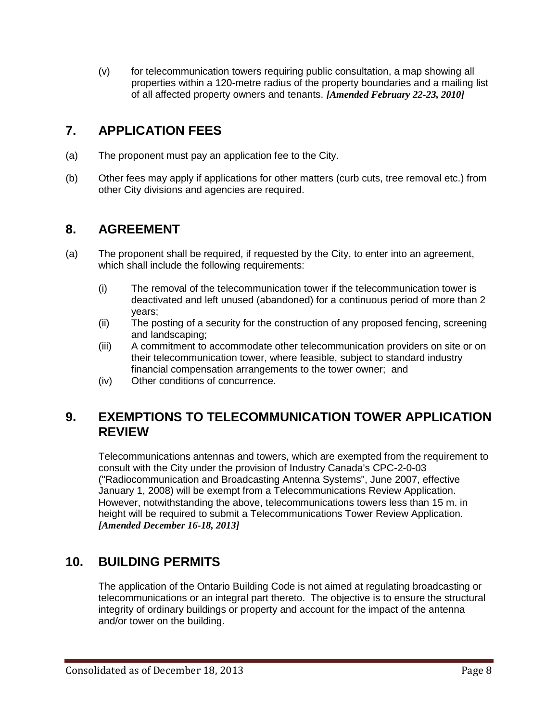(v) for telecommunication towers requiring public consultation, a map showing all properties within a 120-metre radius of the property boundaries and a mailing list of all affected property owners and tenants. *[Amended February 22-23, 2010]*

# **7. APPLICATION FEES**

- (a) The proponent must pay an application fee to the City.
- (b) Other fees may apply if applications for other matters (curb cuts, tree removal etc.) from other City divisions and agencies are required.

# **8. AGREEMENT**

- (a) The proponent shall be required, if requested by the City, to enter into an agreement, which shall include the following requirements:
	- (i) The removal of the telecommunication tower if the telecommunication tower is deactivated and left unused (abandoned) for a continuous period of more than 2 years;
	- (ii) The posting of a security for the construction of any proposed fencing, screening and landscaping;
	- (iii) A commitment to accommodate other telecommunication providers on site or on their telecommunication tower, where feasible, subject to standard industry financial compensation arrangements to the tower owner; and
	- (iv) Other conditions of concurrence.

### **9. EXEMPTIONS TO TELECOMMUNICATION TOWER APPLICATION REVIEW**

Telecommunications antennas and towers, which are exempted from the requirement to consult with the City under the provision of Industry Canada's CPC-2-0-03 ("Radiocommunication and Broadcasting Antenna Systems", June 2007, effective January 1, 2008) will be exempt from a Telecommunications Review Application. However, notwithstanding the above, telecommunications towers less than 15 m. in height will be required to submit a Telecommunications Tower Review Application. *[Amended December 16-18, 2013]*

### **10. BUILDING PERMITS**

The application of the Ontario Building Code is not aimed at regulating broadcasting or telecommunications or an integral part thereto. The objective is to ensure the structural integrity of ordinary buildings or property and account for the impact of the antenna and/or tower on the building.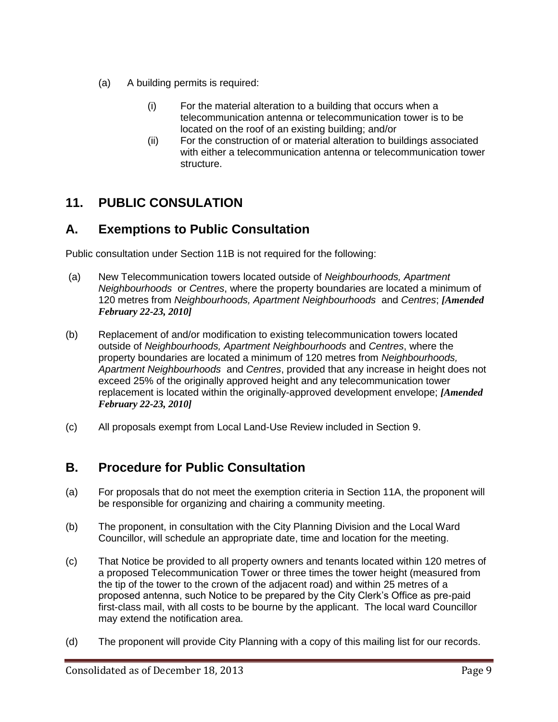- (a) A building permits is required:
	- (i) For the material alteration to a building that occurs when a telecommunication antenna or telecommunication tower is to be located on the roof of an existing building; and/or
	- (ii) For the construction of or material alteration to buildings associated with either a telecommunication antenna or telecommunication tower structure.

# **11. PUBLIC CONSULATION**

## **A. Exemptions to Public Consultation**

Public consultation under Section 11B is not required for the following:

- (a) New Telecommunication towers located outside of *Neighbourhoods, Apartment Neighbourhoods* or *Centres*, where the property boundaries are located a minimum of 120 metres from *Neighbourhoods, Apartment Neighbourhoods* and *Centres*; *[Amended February 22-23, 2010]*
- (b) Replacement of and/or modification to existing telecommunication towers located outside of *Neighbourhoods, Apartment Neighbourhoods* and *Centres*, where the property boundaries are located a minimum of 120 metres from *Neighbourhoods, Apartment Neighbourhoods* and *Centres*, provided that any increase in height does not exceed 25% of the originally approved height and any telecommunication tower replacement is located within the originally-approved development envelope; *[Amended February 22-23, 2010]*
- (c) All proposals exempt from Local Land-Use Review included in Section 9.

# **B. Procedure for Public Consultation**

- (a) For proposals that do not meet the exemption criteria in Section 11A, the proponent will be responsible for organizing and chairing a community meeting.
- (b) The proponent, in consultation with the City Planning Division and the Local Ward Councillor, will schedule an appropriate date, time and location for the meeting.
- (c) That Notice be provided to all property owners and tenants located within 120 metres of a proposed Telecommunication Tower or three times the tower height (measured from the tip of the tower to the crown of the adjacent road) and within 25 metres of a proposed antenna, such Notice to be prepared by the City Clerk's Office as pre-paid first-class mail, with all costs to be bourne by the applicant. The local ward Councillor may extend the notification area.
- (d) The proponent will provide City Planning with a copy of this mailing list for our records.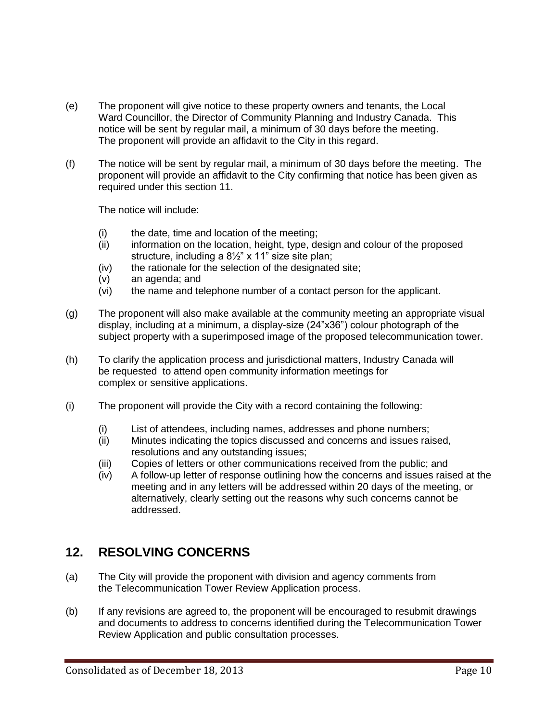- (e) The proponent will give notice to these property owners and tenants, the Local Ward Councillor, the Director of Community Planning and Industry Canada. This notice will be sent by regular mail, a minimum of 30 days before the meeting. The proponent will provide an affidavit to the City in this regard.
- (f) The notice will be sent by regular mail, a minimum of 30 days before the meeting. The proponent will provide an affidavit to the City confirming that notice has been given as required under this section 11.

The notice will include:

- (i) the date, time and location of the meeting;
- (ii) information on the location, height, type, design and colour of the proposed structure, including a 8½" x 11" size site plan;
- (iv) the rationale for the selection of the designated site;
- (v) an agenda; and
- (vi) the name and telephone number of a contact person for the applicant.
- (g) The proponent will also make available at the community meeting an appropriate visual display, including at a minimum, a display-size (24"x36") colour photograph of the subject property with a superimposed image of the proposed telecommunication tower.
- (h) To clarify the application process and jurisdictional matters, Industry Canada will be requested to attend open community information meetings for complex or sensitive applications.
- (i) The proponent will provide the City with a record containing the following:
	- (i) List of attendees, including names, addresses and phone numbers;
	- (ii) Minutes indicating the topics discussed and concerns and issues raised, resolutions and any outstanding issues;
	- (iii) Copies of letters or other communications received from the public; and
	- (iv) A follow-up letter of response outlining how the concerns and issues raised at the meeting and in any letters will be addressed within 20 days of the meeting, or alternatively, clearly setting out the reasons why such concerns cannot be addressed.

### **12. RESOLVING CONCERNS**

- (a) The City will provide the proponent with division and agency comments from the Telecommunication Tower Review Application process.
- (b) If any revisions are agreed to, the proponent will be encouraged to resubmit drawings and documents to address to concerns identified during the Telecommunication Tower Review Application and public consultation processes.